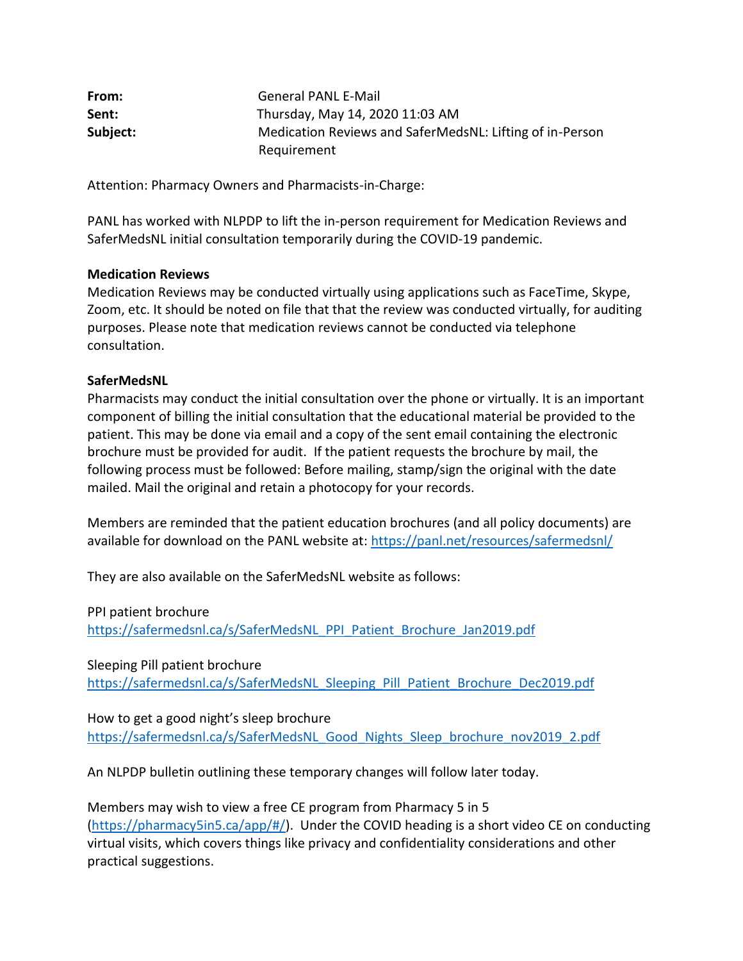| From:    | <b>General PANL E-Mail</b>                               |
|----------|----------------------------------------------------------|
| Sent:    | Thursday, May 14, 2020 11:03 AM                          |
| Subject: | Medication Reviews and SaferMedsNL: Lifting of in-Person |
|          | Requirement                                              |

Attention: Pharmacy Owners and Pharmacists-in-Charge:

PANL has worked with NLPDP to lift the in-person requirement for Medication Reviews and SaferMedsNL initial consultation temporarily during the COVID-19 pandemic.

## **Medication Reviews**

Medication Reviews may be conducted virtually using applications such as FaceTime, Skype, Zoom, etc. It should be noted on file that that the review was conducted virtually, for auditing purposes. Please note that medication reviews cannot be conducted via telephone consultation.

## **SaferMedsNL**

Pharmacists may conduct the initial consultation over the phone or virtually. It is an important component of billing the initial consultation that the educational material be provided to the patient. This may be done via email and a copy of the sent email containing the electronic brochure must be provided for audit. If the patient requests the brochure by mail, the following process must be followed: Before mailing, stamp/sign the original with the date mailed. Mail the original and retain a photocopy for your records.

Members are reminded that the patient education brochures (and all policy documents) are available for download on the PANL website at:<https://panl.net/resources/safermedsnl/>

They are also available on the SaferMedsNL website as follows:

PPI patient brochure

[https://safermedsnl.ca/s/SaferMedsNL\\_PPI\\_Patient\\_Brochure\\_Jan2019.pdf](https://safermedsnl.ca/s/SaferMedsNL_PPI_Patient_Brochure_Jan2019.pdf)

Sleeping Pill patient brochure

[https://safermedsnl.ca/s/SaferMedsNL\\_Sleeping\\_Pill\\_Patient\\_Brochure\\_Dec2019.pdf](https://safermedsnl.ca/s/SaferMedsNL_Sleeping_Pill_Patient_Brochure_Dec2019.pdf)

How to get a good night's sleep brochure [https://safermedsnl.ca/s/SaferMedsNL\\_Good\\_Nights\\_Sleep\\_brochure\\_nov2019\\_2.pdf](https://safermedsnl.ca/s/SaferMedsNL_Good_Nights_Sleep_brochure_nov2019_2.pdf)

An NLPDP bulletin outlining these temporary changes will follow later today.

Members may wish to view a free CE program from Pharmacy 5 in 5 [\(https://pharmacy5in5.ca/app/#/\)](https://pharmacy5in5.ca/app/#/). Under the COVID heading is a short video CE on conducting virtual visits, which covers things like privacy and confidentiality considerations and other practical suggestions.